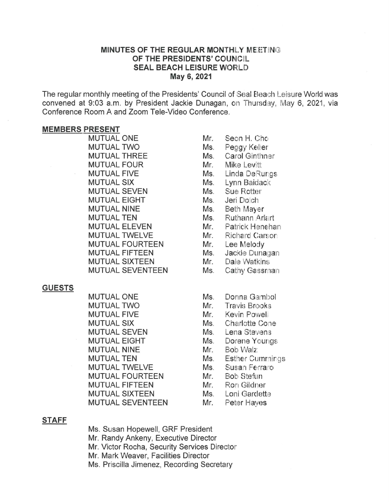# MINUTES OF THE REGULAR MONTHLY MEETING OF THE PRESIDENTS' COUNCIL SEAL BEACH LEISURE WORLD May 6, 2021

The regular monthly meeting of the Presidents' Council of Seal Beach Leisure World was convened at 9:03 a.m. by President Jackie Dunagan, on Thursday, May 6, 2021, via Conference Room A and Zoom Tele-Video Conference.

#### MEMBERS PRESENT

MUTUAL ONE MUTUAL TWO MUTUAL THRFF MUTUAL FOUR MUTUAL FIVE MUTUAL SIX MUTUAL SEVEN MUTUAL EIGHT MUTUAL NINE MUTUAL TEN MUTUAL FLEVEN MUTUAL TWELVE MUTUAL FOURTEEN MUTUAL FIFTEEN MUTUAL SIXTEEN MUTUAL SEVENTEEN

#### GUESTS

MUTUAL ONE MUTUAL TWO MUTUAL FIVE MUTUAL SIX MUTUAL SEVEN MUTUAL EIGHT MUTUAL NINE MUTUAL TEN MUTUAL TWELVE MUTUAL FOURTEEN MUTUAL FIFTEEN MUTUAL SIXTEEN MUTUAL SEVENTEEN

- Mr. Seon H. Chc Ms. Peggy Kel'er Ms. Carol Ginthner Mr. Mike Levitt Ms. Linda DeRungs Ms. Lynn Baidack Ms. Sue Rotter Ms. Jeri Do!ch Ms. Beth Mayer Ms. Ruthann Arlart Mr. Patrick Henehan Mr. Richard Carson Mr. Lee Melody Ms. Jackie Dunagan Mr. Dale Watkins Ms. Cathy Gassman
- Ms. Donna Gambol
- Mr. Travis Brooks
- Mr. Kevin Powell
- Ms. Charlotte Cone
- Ms. Lena Stevens
- Ms. Dorene Youngs
- Mr. Bob VValz
- Ms. Esther Cummirgs
- Ms. Susan Ferraro
- Mr. Bob Stefun
- Mr. Ron Gildner
- Ms. Loni Gardette
- Mr. Peter Haves

#### STAFF

Ms. Susan Hopewell, GRF President Mr. Randy Ankeny, Executive Director Mr. Victor Rocha, Security Services Director Mr. Mark Weaver, Facilities Director Ms. Priscilla Jimenez, Recording Secretary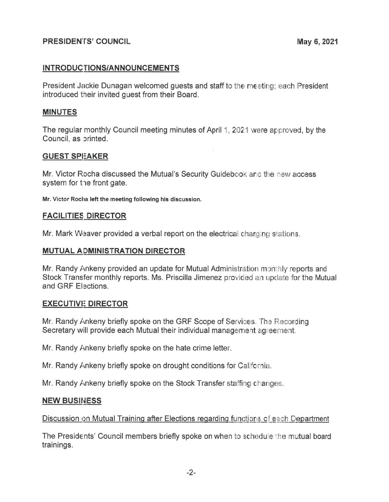# PRESIDENTS' COUNCIL **Example 2021** May 6, 2021

# INTRODUCTIONS/ANNOUNCEMENTS

President Jackie Dunagan welcomed guests and staff to the meeting; each President introduced their invited guest from their Board.

### MINUTES

The regular monthly Council meeting minutes of April 1, 2021 were approved, by the Council, as orinted.

# GUEST SPEAKER

Mr. Victor Rocha discussed the Mutual's Security Guidebook and the new access system for the front gate.

Mr. Victor Roclia left the meeting following his discussion.

### FACILITIES DIRECTOR

Mr. Mark Weaver provided a verbal report on the electrical charging stations.

## MUTUAL ADMINISTRATION DIRECTOR

Mr. Randy Ankeny provided an update for Mutual Administration monthly reports and Stock Transfer monthly reports. Ms. Priscilla Jimenez provided an update for the Mutual and GRF Elections.

#### EXECUTIVE DIRECTOR

Mr. Randy Ankeny briefly spoke on the GRF Scope of Services. The Recording Secretary will provide each Mutual their individual management agreement.

Mr. Randy Ankeny briefly spoke on the hate crime letter.

Mr. Randy Ankeny briefly spoke on drought conditions for California.

Mr. Randy Ankeny briefly spoke on the Stock Transfer staffing changes.

#### **NEW BUSINESS**

# Discussion on Mutual Training after Elections regarding functions of each Department

The Presidents' Council members briefly spoke on when to schedule the mutual board trainings.